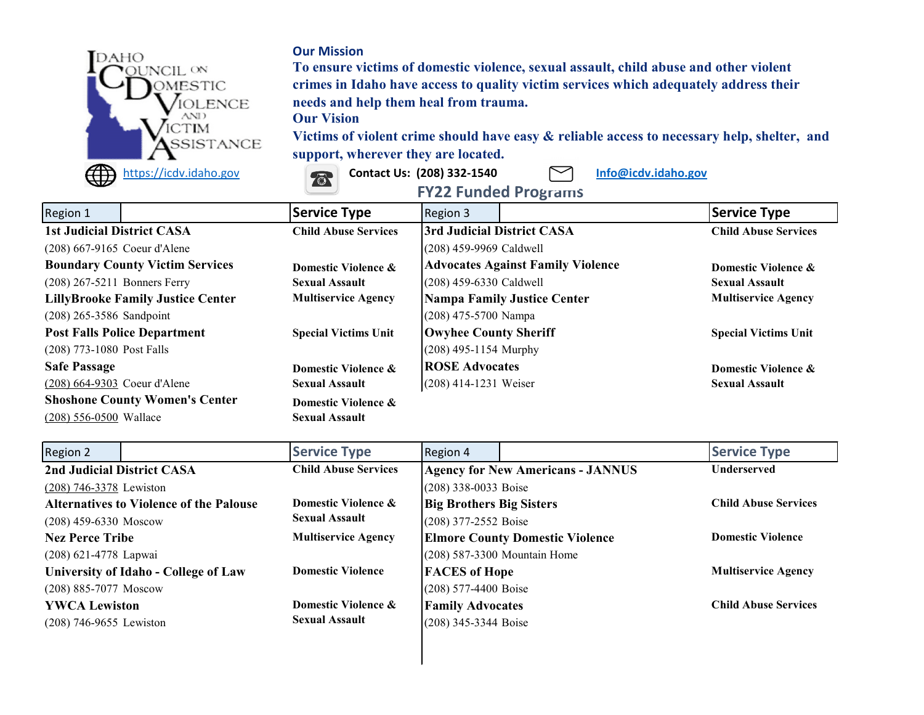

## **Our Mission**

**To ensure victims of domestic violence, sexual assault, child abuse and other violent crimes in Idaho have access to quality victim services which adequately address their needs and help them heal from trauma.**

## **Our Vision**

**Victims of violent crime should have easy & reliable access to necessary help, shelter, and support, wherever they are located.**



| $\tilde{}$                               | $\sim$<br><b>FY22 Funded Programs</b>                       |                                          |                             |  |
|------------------------------------------|-------------------------------------------------------------|------------------------------------------|-----------------------------|--|
| Region 1                                 | <b>Service Type</b>                                         | Region 3                                 | Service Type                |  |
| <b>1st Judicial District CASA</b>        | <b>Child Abuse Services</b>                                 | 3rd Judicial District CASA               | <b>Child Abuse Services</b> |  |
| (208) 667-9165 Coeur d'Alene             |                                                             | (208) 459-9969 Caldwell                  |                             |  |
| <b>Boundary County Victim Services</b>   | Domestic Violence &                                         | <b>Advocates Against Family Violence</b> | Domestic Violence &         |  |
| $(208)$ 267-5211 Bonners Ferry           | <b>Sexual Assault</b>                                       | (208) 459-6330 Caldwell                  | <b>Sexual Assault</b>       |  |
| <b>LillyBrooke Family Justice Center</b> | <b>Multiservice Agency</b>                                  | <b>Nampa Family Justice Center</b>       | <b>Multiservice Agency</b>  |  |
| $(208)$ 265-3586 Sandpoint               |                                                             | $(208)$ 475-5700 Nampa                   |                             |  |
| <b>Post Falls Police Department</b>      | <b>Owyhee County Sheriff</b><br><b>Special Victims Unit</b> |                                          | <b>Special Victims Unit</b> |  |
| $(208)$ 773-1080 Post Falls              |                                                             | $(208)$ 495-1154 Murphy                  |                             |  |
| <b>Safe Passage</b>                      | Domestic Violence &                                         | <b>ROSE Advocates</b>                    | Domestic Violence &         |  |
| (208) 664-9303 Coeur d'Alene             | <b>Sexual Assault</b>                                       | $(208)$ 414-1231 Weiser                  | <b>Sexual Assault</b>       |  |
| <b>Shoshone County Women's Center</b>    | Domestic Violence &                                         |                                          |                             |  |
| $(208)$ 556-0500 Wallace                 | <b>Sexual Assault</b>                                       |                                          |                             |  |

| Region 2                                         | <b>Service Type</b>         | Region 4                                 | <b>Service Type</b>         |  |
|--------------------------------------------------|-----------------------------|------------------------------------------|-----------------------------|--|
| 2nd Judicial District CASA                       | <b>Child Abuse Services</b> | <b>Agency for New Americans - JANNUS</b> | <b>Underserved</b>          |  |
| $(208)$ 746-3378 Lewiston                        |                             | $(208)$ 338-0033 Boise                   |                             |  |
| <b>Alternatives to Violence of the Palouse</b>   | Domestic Violence &         | <b>Big Brothers Big Sisters</b>          | <b>Child Abuse Services</b> |  |
| <b>Sexual Assault</b><br>$(208)$ 459-6330 Moscow |                             | $(208)$ 377-2552 Boise                   |                             |  |
| <b>Nez Perce Tribe</b>                           | <b>Multiservice Agency</b>  | <b>Elmore County Domestic Violence</b>   | <b>Domestic Violence</b>    |  |
| (208) 621-4778 Lapwai                            |                             | $(208)$ 587-3300 Mountain Home           |                             |  |
| <b>University of Idaho - College of Law</b>      | <b>Domestic Violence</b>    | <b>FACES</b> of Hope                     | <b>Multiservice Agency</b>  |  |
| (208) 885-7077 Moscow                            |                             | $(208)$ 577-4400 Boise                   |                             |  |
| <b>YWCA Lewiston</b>                             | Domestic Violence &         | <b>Family Advocates</b>                  | <b>Child Abuse Services</b> |  |
| $(208)$ 746-9655 Lewiston                        | <b>Sexual Assault</b>       | $(208)$ 345-3344 Boise                   |                             |  |